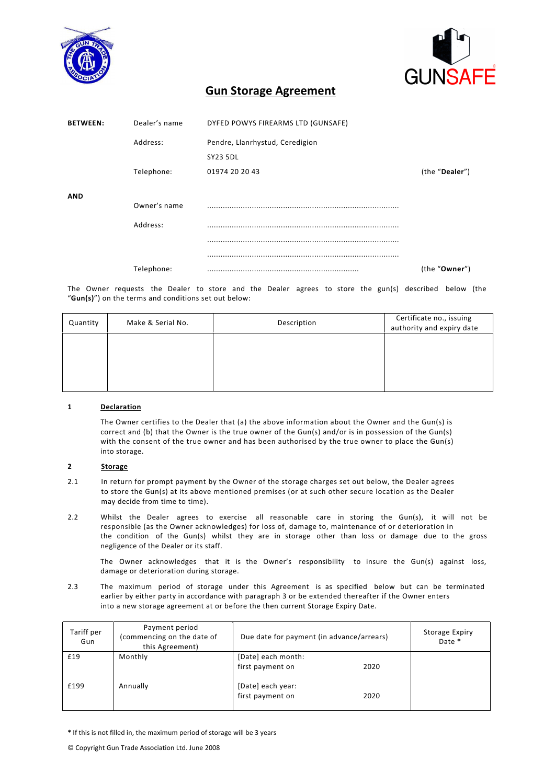



# **Gun Storage Agreement**

| <b>BETWEEN:</b> | Dealer's name | DYFED POWYS FIREARMS LTD (GUNSAFE) |                |
|-----------------|---------------|------------------------------------|----------------|
|                 | Address:      | Pendre, Llanrhystud, Ceredigion    |                |
|                 |               | <b>SY23 5DL</b>                    |                |
|                 | Telephone:    | 01974 20 20 43                     | (the "Dealer") |
| AND             |               |                                    |                |
|                 | Owner's name  |                                    |                |
|                 | Address:      |                                    |                |
|                 |               |                                    |                |
|                 |               |                                    |                |
|                 | Telephone:    |                                    | (the "Owner")  |

The Owner requests the Dealer to store and the Dealer agrees to store the gun(s) described below (the "Gun(s)") on the terms and conditions set out below:

| Quantity | Make & Serial No. | Description | Certificate no., issuing<br>authority and expiry date |
|----------|-------------------|-------------|-------------------------------------------------------|
|          |                   |             |                                                       |
|          |                   |             |                                                       |
|          |                   |             |                                                       |

## **1 Declaration**

The Owner certifies to the Dealer that (a) the above information about the Owner and the Gun(s) is correct and (b) that the Owner is the true owner of the Gun(s) and/or is in possession of the Gun(s) with the consent of the true owner and has been authorised by the true owner to place the Gun(s) into storage.

## **2 Storage**

- 2.1 In return for prompt payment by the Owner of the storage charges set out below, the Dealer agrees to store the Gun(s) at its above mentioned premises (or at such other secure location as the Dealer may decide from time to time).
- 2.2 Whilst the Dealer agrees to exercise all reasonable care in storing the Gun(s), it will not be responsible (as the Owner acknowledges) for loss of, damage to, maintenance of or deterioration in the condition of the Gun(s) whilst they are in storage other than loss or damage due to the gross negligence of the Dealer or its staff.

The Owner acknowledges that it is the Owner's responsibility to insure the Gun(s) against loss, damage or deterioration during storage.

2.3 The maximum period of storage under this Agreement is as specified below but can be terminated earlier by either party in accordance with paragraph 3 or be extended thereafter if the Owner enters into a new storage agreement at or before the then current Storage Expiry Date.

| Tariff per<br>Gun | Payment period<br>(commencing on the date of<br>this Agreement) | Due date for payment (in advance/arrears) |      | <b>Storage Expiry</b><br>Date * |
|-------------------|-----------------------------------------------------------------|-------------------------------------------|------|---------------------------------|
| £19               | Monthly                                                         | [Date] each month:                        |      |                                 |
|                   |                                                                 | first payment on                          | 2020 |                                 |
| £199              | Annually                                                        | [Date] each year:<br>first payment on     | 2020 |                                 |

\* If this is not filled in, the maximum period of storage will be 3 years